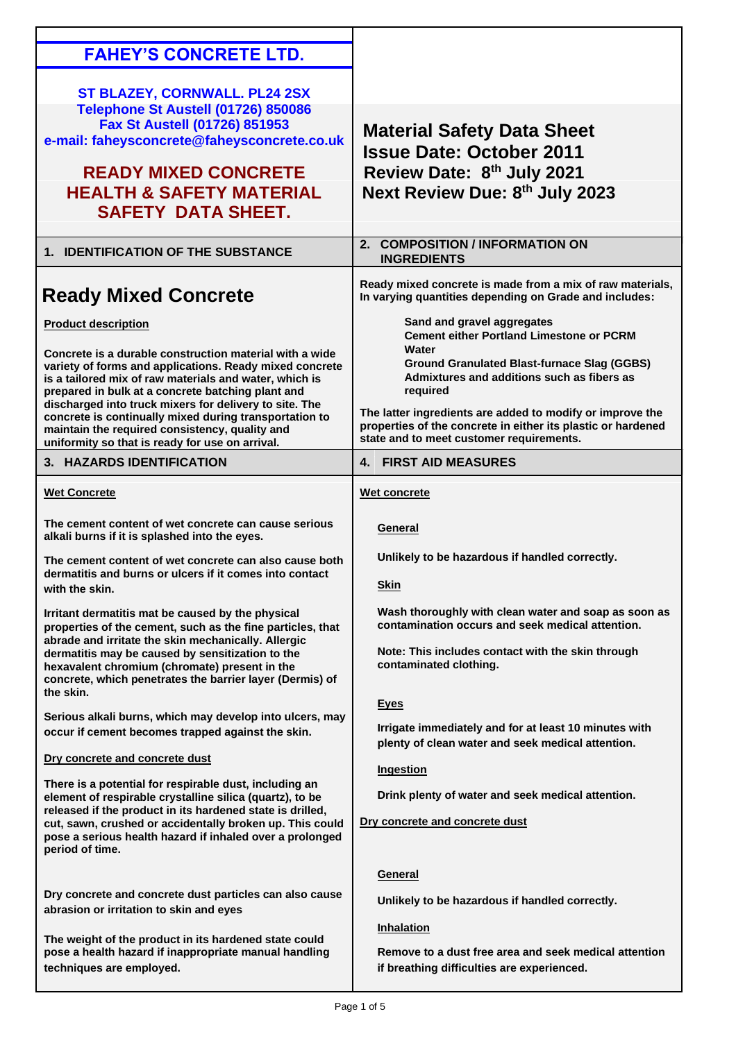| <b>FAHEY'S CONCRETE LTD.</b>                                                                                                                                                                                                                                                                                                                                                                                                                                                                                                |                                                                                                                                                                                                                                                                                                                                                                                 |
|-----------------------------------------------------------------------------------------------------------------------------------------------------------------------------------------------------------------------------------------------------------------------------------------------------------------------------------------------------------------------------------------------------------------------------------------------------------------------------------------------------------------------------|---------------------------------------------------------------------------------------------------------------------------------------------------------------------------------------------------------------------------------------------------------------------------------------------------------------------------------------------------------------------------------|
| ST BLAZEY, CORNWALL. PL24 2SX<br>Telephone St Austell (01726) 850086<br>Fax St Austell (01726) 851953<br>e-mail: faheysconcrete@faheysconcrete.co.uk<br><b>READY MIXED CONCRETE</b><br><b>HEALTH &amp; SAFETY MATERIAL</b><br><b>SAFETY DATA SHEET.</b>                                                                                                                                                                                                                                                                     | <b>Material Safety Data Sheet</b><br><b>Issue Date: October 2011</b><br>Review Date: 8th July 2021<br>Next Review Due: 8th July 2023                                                                                                                                                                                                                                            |
| 1. IDENTIFICATION OF THE SUBSTANCE                                                                                                                                                                                                                                                                                                                                                                                                                                                                                          | 2. COMPOSITION / INFORMATION ON<br><b>INGREDIENTS</b>                                                                                                                                                                                                                                                                                                                           |
| <b>Ready Mixed Concrete</b>                                                                                                                                                                                                                                                                                                                                                                                                                                                                                                 | Ready mixed concrete is made from a mix of raw materials,<br>In varying quantities depending on Grade and includes:                                                                                                                                                                                                                                                             |
| <b>Product description</b><br>Concrete is a durable construction material with a wide<br>variety of forms and applications. Ready mixed concrete<br>is a tailored mix of raw materials and water, which is<br>prepared in bulk at a concrete batching plant and<br>discharged into truck mixers for delivery to site. The<br>concrete is continually mixed during transportation to<br>maintain the required consistency, quality and<br>uniformity so that is ready for use on arrival.                                    | Sand and gravel aggregates<br><b>Cement either Portland Limestone or PCRM</b><br>Water<br><b>Ground Granulated Blast-furnace Slag (GGBS)</b><br>Admixtures and additions such as fibers as<br>required<br>The latter ingredients are added to modify or improve the<br>properties of the concrete in either its plastic or hardened<br>state and to meet customer requirements. |
| 3. HAZARDS IDENTIFICATION                                                                                                                                                                                                                                                                                                                                                                                                                                                                                                   | <b>4. FIRST AID MEASURES</b>                                                                                                                                                                                                                                                                                                                                                    |
| <b>Wet Concrete</b>                                                                                                                                                                                                                                                                                                                                                                                                                                                                                                         | Wet concrete                                                                                                                                                                                                                                                                                                                                                                    |
| The cement content of wet concrete can cause serious<br>alkali burns if it is splashed into the eyes.<br>The cement content of wet concrete can also cause both<br>dermatitis and burns or ulcers if it comes into contact<br>with the skin.<br>Irritant dermatitis mat be caused by the physical<br>properties of the cement, such as the fine particles, that<br>abrade and irritate the skin mechanically. Allergic<br>dermatitis may be caused by sensitization to the<br>hexavalent chromium (chromate) present in the | <b>General</b><br>Unlikely to be hazardous if handled correctly.<br><b>Skin</b><br>Wash thoroughly with clean water and soap as soon as<br>contamination occurs and seek medical attention.<br>Note: This includes contact with the skin through<br>contaminated clothing.                                                                                                      |
| concrete, which penetrates the barrier layer (Dermis) of<br>the skin.<br>Serious alkali burns, which may develop into ulcers, may<br>occur if cement becomes trapped against the skin.                                                                                                                                                                                                                                                                                                                                      | <u>Eyes</u><br>Irrigate immediately and for at least 10 minutes with<br>plenty of clean water and seek medical attention.                                                                                                                                                                                                                                                       |
| Dry concrete and concrete dust<br>There is a potential for respirable dust, including an<br>element of respirable crystalline silica (quartz), to be<br>released if the product in its hardened state is drilled,<br>cut, sawn, crushed or accidentally broken up. This could<br>pose a serious health hazard if inhaled over a prolonged<br>period of time.                                                                                                                                                                | <b>Ingestion</b><br>Drink plenty of water and seek medical attention.<br>Dry concrete and concrete dust                                                                                                                                                                                                                                                                         |
| Dry concrete and concrete dust particles can also cause<br>abrasion or irritation to skin and eyes<br>The weight of the product in its hardened state could<br>pose a health hazard if inappropriate manual handling<br>techniques are employed.                                                                                                                                                                                                                                                                            | General<br>Unlikely to be hazardous if handled correctly.<br><b>Inhalation</b><br>Remove to a dust free area and seek medical attention<br>if breathing difficulties are experienced.                                                                                                                                                                                           |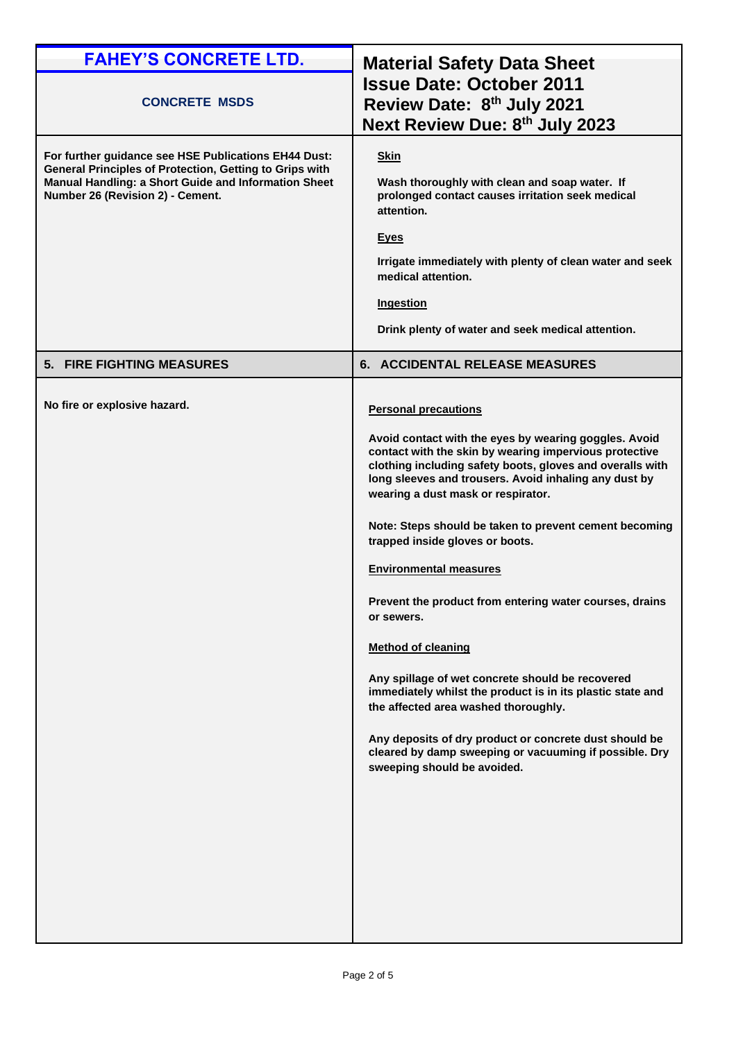| <b>FAHEY'S CONCRETE LTD.</b>                                                                                                                                                                                | <b>Material Safety Data Sheet</b>                                                                                                                                                                                                                                                                                                                                                                                                                                                                                                                                                                                                                                                                                                                                                                                                                           |
|-------------------------------------------------------------------------------------------------------------------------------------------------------------------------------------------------------------|-------------------------------------------------------------------------------------------------------------------------------------------------------------------------------------------------------------------------------------------------------------------------------------------------------------------------------------------------------------------------------------------------------------------------------------------------------------------------------------------------------------------------------------------------------------------------------------------------------------------------------------------------------------------------------------------------------------------------------------------------------------------------------------------------------------------------------------------------------------|
| <b>CONCRETE MSDS</b>                                                                                                                                                                                        | <b>Issue Date: October 2011</b><br>Review Date: 8th July 2021<br>Next Review Due: 8th July 2023                                                                                                                                                                                                                                                                                                                                                                                                                                                                                                                                                                                                                                                                                                                                                             |
| For further guidance see HSE Publications EH44 Dust:<br>General Principles of Protection, Getting to Grips with<br>Manual Handling: a Short Guide and Information Sheet<br>Number 26 (Revision 2) - Cement. | <b>Skin</b><br>Wash thoroughly with clean and soap water. If<br>prolonged contact causes irritation seek medical<br>attention.<br><u>Eyes</u><br>Irrigate immediately with plenty of clean water and seek<br>medical attention.<br><b>Ingestion</b><br>Drink plenty of water and seek medical attention.                                                                                                                                                                                                                                                                                                                                                                                                                                                                                                                                                    |
| 5. FIRE FIGHTING MEASURES                                                                                                                                                                                   | 6. ACCIDENTAL RELEASE MEASURES                                                                                                                                                                                                                                                                                                                                                                                                                                                                                                                                                                                                                                                                                                                                                                                                                              |
| No fire or explosive hazard.                                                                                                                                                                                | <b>Personal precautions</b><br>Avoid contact with the eyes by wearing goggles. Avoid<br>contact with the skin by wearing impervious protective<br>clothing including safety boots, gloves and overalls with<br>long sleeves and trousers. Avoid inhaling any dust by<br>wearing a dust mask or respirator.<br>Note: Steps should be taken to prevent cement becoming<br>trapped inside gloves or boots.<br><b>Environmental measures</b><br>Prevent the product from entering water courses, drains<br>or sewers.<br><b>Method of cleaning</b><br>Any spillage of wet concrete should be recovered<br>immediately whilst the product is in its plastic state and<br>the affected area washed thoroughly.<br>Any deposits of dry product or concrete dust should be<br>cleared by damp sweeping or vacuuming if possible. Dry<br>sweeping should be avoided. |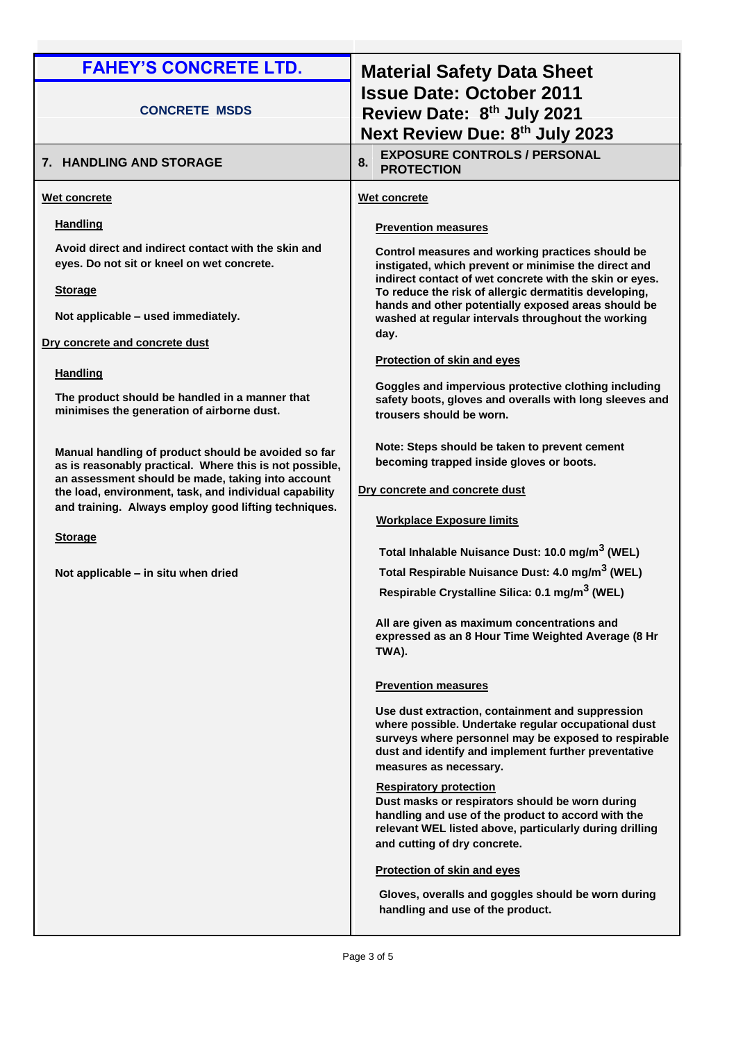| <b>Issue Date: October 2011</b><br><b>CONCRETE MSDS</b><br>Review Date: 8th July 2021<br>Next Review Due: 8th July 2023<br><b>EXPOSURE CONTROLS / PERSONAL</b><br>8.<br>7. HANDLING AND STORAGE<br><b>PROTECTION</b><br>Wet concrete<br>Wet concrete<br><b>Handling</b><br><b>Prevention measures</b><br>Avoid direct and indirect contact with the skin and<br>Control measures and working practices should be<br>eyes. Do not sit or kneel on wet concrete.<br>instigated, which prevent or minimise the direct and<br>indirect contact of wet concrete with the skin or eyes.<br><b>Storage</b><br>To reduce the risk of allergic dermatitis developing,<br>hands and other potentially exposed areas should be<br>Not applicable - used immediately.<br>washed at regular intervals throughout the working<br>day.<br>Dry concrete and concrete dust<br>Protection of skin and eyes<br><b>Handling</b><br>Goggles and impervious protective clothing including<br>The product should be handled in a manner that<br>minimises the generation of airborne dust.<br>trousers should be worn.<br>Note: Steps should be taken to prevent cement<br>Manual handling of product should be avoided so far<br>becoming trapped inside gloves or boots.<br>as is reasonably practical. Where this is not possible,<br>an assessment should be made, taking into account<br>Dry concrete and concrete dust<br>the load, environment, task, and individual capability<br>and training. Always employ good lifting techniques.<br><b>Workplace Exposure limits</b><br><b>Storage</b><br>Total Inhalable Nuisance Dust: 10.0 mg/m <sup>3</sup> (WEL)<br>Total Respirable Nuisance Dust: 4.0 mg/m <sup>3</sup> (WEL)<br>Not applicable - in situ when dried<br>Respirable Crystalline Silica: 0.1 mg/m <sup>3</sup> (WEL)<br>All are given as maximum concentrations and<br>expressed as an 8 Hour Time Weighted Average (8 Hr<br>TWA).<br><b>Prevention measures</b><br>Use dust extraction, containment and suppression | <b>FAHEY'S CONCRETE LTD.</b> | <b>Material Safety Data Sheet</b>                                                                               |
|------------------------------------------------------------------------------------------------------------------------------------------------------------------------------------------------------------------------------------------------------------------------------------------------------------------------------------------------------------------------------------------------------------------------------------------------------------------------------------------------------------------------------------------------------------------------------------------------------------------------------------------------------------------------------------------------------------------------------------------------------------------------------------------------------------------------------------------------------------------------------------------------------------------------------------------------------------------------------------------------------------------------------------------------------------------------------------------------------------------------------------------------------------------------------------------------------------------------------------------------------------------------------------------------------------------------------------------------------------------------------------------------------------------------------------------------------------------------------------------------------------------------------------------------------------------------------------------------------------------------------------------------------------------------------------------------------------------------------------------------------------------------------------------------------------------------------------------------------------------------------------------------------------------------------------------------------------------------------------------------------------------|------------------------------|-----------------------------------------------------------------------------------------------------------------|
|                                                                                                                                                                                                                                                                                                                                                                                                                                                                                                                                                                                                                                                                                                                                                                                                                                                                                                                                                                                                                                                                                                                                                                                                                                                                                                                                                                                                                                                                                                                                                                                                                                                                                                                                                                                                                                                                                                                                                                                                                  |                              |                                                                                                                 |
|                                                                                                                                                                                                                                                                                                                                                                                                                                                                                                                                                                                                                                                                                                                                                                                                                                                                                                                                                                                                                                                                                                                                                                                                                                                                                                                                                                                                                                                                                                                                                                                                                                                                                                                                                                                                                                                                                                                                                                                                                  |                              |                                                                                                                 |
|                                                                                                                                                                                                                                                                                                                                                                                                                                                                                                                                                                                                                                                                                                                                                                                                                                                                                                                                                                                                                                                                                                                                                                                                                                                                                                                                                                                                                                                                                                                                                                                                                                                                                                                                                                                                                                                                                                                                                                                                                  |                              |                                                                                                                 |
| where possible. Undertake regular occupational dust<br>dust and identify and implement further preventative<br>measures as necessary.<br><b>Respiratory protection</b><br>Dust masks or respirators should be worn during<br>handling and use of the product to accord with the<br>relevant WEL listed above, particularly during drilling<br>and cutting of dry concrete.<br><b>Protection of skin and eyes</b><br>Gloves, overalls and goggles should be worn during                                                                                                                                                                                                                                                                                                                                                                                                                                                                                                                                                                                                                                                                                                                                                                                                                                                                                                                                                                                                                                                                                                                                                                                                                                                                                                                                                                                                                                                                                                                                           |                              | safety boots, gloves and overalls with long sleeves and<br>surveys where personnel may be exposed to respirable |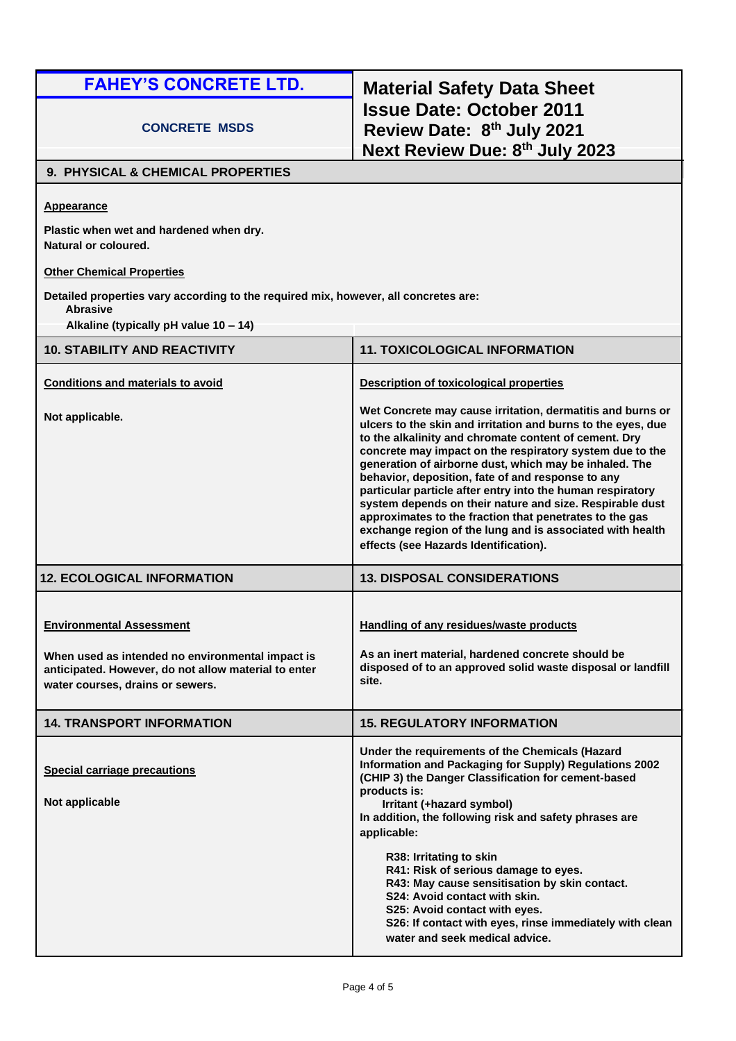### **CONCRETE MSDS**

# **FAHEY'S CONCRETE LTD. Material Safety Data Sheet Issue Date: October 2011 Review Date: 8 th July 2021 Next Review Due: 8th July 2023**

#### **9. PHYSICAL & CHEMICAL PROPERTIES**

**Appearance**

**Plastic when wet and hardened when dry. Natural or coloured.**

### **Other Chemical Properties**

**Detailed properties vary according to the required mix, however, all concretes are:**

**Abrasive**

**Alkaline (typically pH value 10 – 14)**

| <b>10. STABILITY AND REACTIVITY</b>                                                                                                                                             | <b>11. TOXICOLOGICAL INFORMATION</b>                                                                                                                                                                                                                                                                                                                                                                                                                                                                                                                                                                                                                      |
|---------------------------------------------------------------------------------------------------------------------------------------------------------------------------------|-----------------------------------------------------------------------------------------------------------------------------------------------------------------------------------------------------------------------------------------------------------------------------------------------------------------------------------------------------------------------------------------------------------------------------------------------------------------------------------------------------------------------------------------------------------------------------------------------------------------------------------------------------------|
| <b>Conditions and materials to avoid</b>                                                                                                                                        | <b>Description of toxicological properties</b>                                                                                                                                                                                                                                                                                                                                                                                                                                                                                                                                                                                                            |
| Not applicable.                                                                                                                                                                 | Wet Concrete may cause irritation, dermatitis and burns or<br>ulcers to the skin and irritation and burns to the eyes, due<br>to the alkalinity and chromate content of cement. Dry<br>concrete may impact on the respiratory system due to the<br>generation of airborne dust, which may be inhaled. The<br>behavior, deposition, fate of and response to any<br>particular particle after entry into the human respiratory<br>system depends on their nature and size. Respirable dust<br>approximates to the fraction that penetrates to the gas<br>exchange region of the lung and is associated with health<br>effects (see Hazards Identification). |
| <b>12. ECOLOGICAL INFORMATION</b>                                                                                                                                               | <b>13. DISPOSAL CONSIDERATIONS</b>                                                                                                                                                                                                                                                                                                                                                                                                                                                                                                                                                                                                                        |
| <b>Environmental Assessment</b><br>When used as intended no environmental impact is<br>anticipated. However, do not allow material to enter<br>water courses, drains or sewers. | <b>Handling of any residues/waste products</b><br>As an inert material, hardened concrete should be<br>disposed of to an approved solid waste disposal or landfill<br>site.                                                                                                                                                                                                                                                                                                                                                                                                                                                                               |
| <b>14. TRANSPORT INFORMATION</b>                                                                                                                                                | <b>15. REGULATORY INFORMATION</b>                                                                                                                                                                                                                                                                                                                                                                                                                                                                                                                                                                                                                         |
| <b>Special carriage precautions</b><br>Not applicable                                                                                                                           | Under the requirements of the Chemicals (Hazard<br>Information and Packaging for Supply) Regulations 2002<br>(CHIP 3) the Danger Classification for cement-based<br>products is:<br>Irritant (+hazard symbol)<br>In addition, the following risk and safety phrases are<br>applicable:<br>R38: Irritating to skin<br>R41: Risk of serious damage to eyes.<br>R43: May cause sensitisation by skin contact.<br>S24: Avoid contact with skin.<br>S25: Avoid contact with eyes.<br>S26: If contact with eyes, rinse immediately with clean                                                                                                                   |
|                                                                                                                                                                                 | water and seek medical advice.                                                                                                                                                                                                                                                                                                                                                                                                                                                                                                                                                                                                                            |